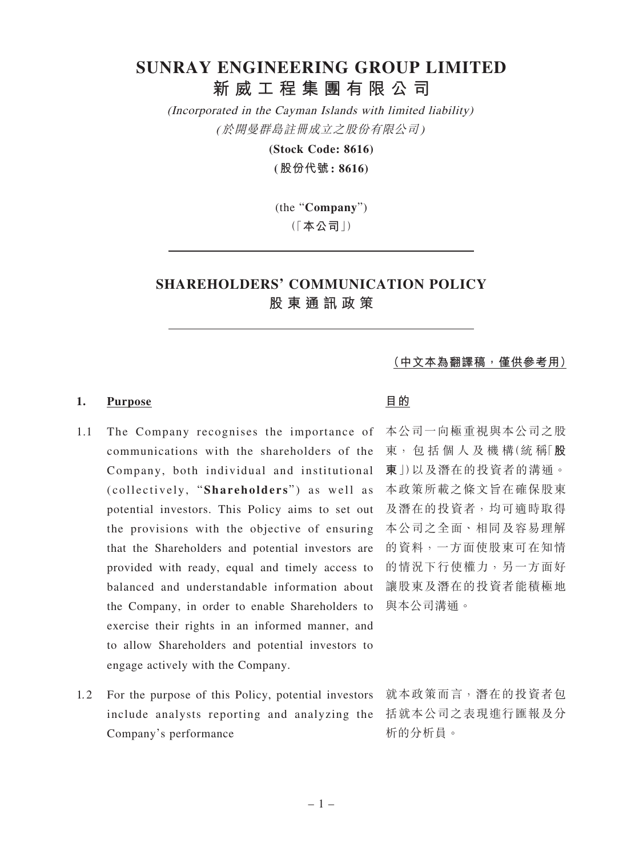# **SUNRAY ENGINEERING GROUP LIMITED 新威工程集團有限公司**

(Incorporated in the Cayman Islands with limited liability) (於開曼群島註冊成立之股份有限公司)

**(Stock Code: 8616)**

**(股份代號: 8616)**

(the "**Company**") (「**本公司**」)

# **SHAREHOLDERS' COMMUNICATION POLICY 股東通訊政策**

**(中文本為翻譯稿,僅供參考用)**

# 1. Purpose **目的**

- 1.1 The Company recognises the importance of communications with the shareholders of the Company, both individual and institutional (collectively, "Shareholders") as well as 本政策所載之條文旨在確保股東 potential investors. This Policy aims to set out 及潛在的投資者,均可適時取得 the provisions with the objective of ensuring that the Shareholders and potential investors are provided with ready, equal and timely access to balanced and understandable information about the Company, in order to enable Shareholders to exercise their rights in an informed manner, and to allow Shareholders and potential investors to engage actively with the Company.
- 1.2 For the purpose of this Policy, potential investors 就本政策而言,潛在的投資者包 include analysts reporting and analyzing the 括就本公司之表現進行匯報及分 Company's performance

本公司一向極重視與本公司之股 東, 包 括 個 人 及 機 構(統 稱「**股 東**」)以及潛在的投資者的溝通。 本公司之全面、相同及容易理解 的資料,一方面使股東可在知情 的情況下行使權力,另一方面好 讓股東及潛在的投資者能積極地 與本公司溝通。

析的分析員。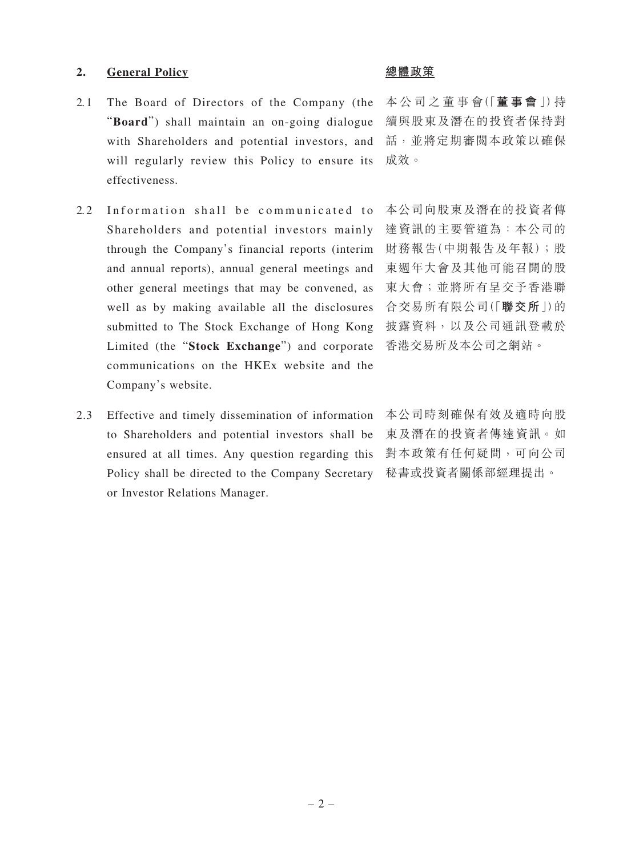### **2. General Policy 總體政策**

- 2.1 The Board of Directors of the Company (the "**Board**") shall maintain an on-going dialogue with Shareholders and potential investors, and will regularly review this Policy to ensure its effectiveness.
- 2.2 Information shall be communicated to Shareholders and potential investors mainly through the Company's financial reports (interim and annual reports), annual general meetings and other general meetings that may be convened, as well as by making available all the disclosures submitted to The Stock Exchange of Hong Kong Limited (the "**Stock Exchange**") and corporate communications on the HKEx website and the Company's website.
- 2.3 Effective and timely dissemination of information to Shareholders and potential investors shall be ensured at all times. Any question regarding this Policy shall be directed to the Company Secretary or Investor Relations Manager.

本 公 司 之 董 事 會(「**董事會** 」)持 續與股東及潛在的投資者保持對 話,並將定期審閱本政策以確保 成效。

本公司向股東及潛在的投資者傳 達資訊的主要管道為:本公司的 財務報告(中期報告及年報);股 東週年大會及其他可能召開的股 東大會;並將所有呈交予香港聯 合交易所有限公司(「**聯交所**」)的 披露資料,以及公司通訊登載於 香港交易所及本公司之網站。

本公司時刻確保有效及適時向股 東及潛在的投資者傳達資訊。如 對本政策有任何疑問,可向公司 秘書或投資者關係部經理提出。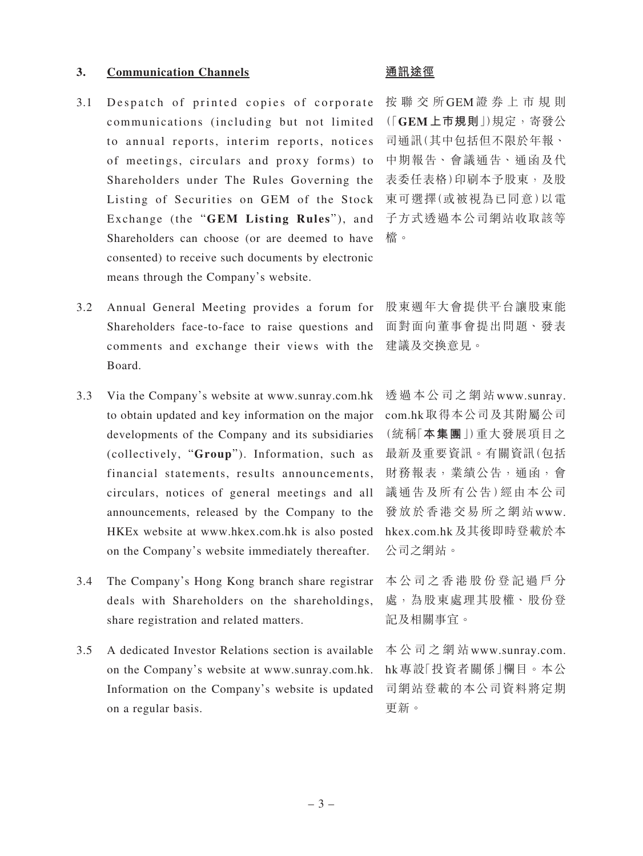### **3. Communication Channels 通訊途徑**

- 3.1 Despatch of printed copies of corporate communications (including but not limited to annual reports, interim reports, notices of meetings, circulars and proxy forms) to Shareholders under The Rules Governing the Listing of Securities on GEM of the Stock Exchange (the "**GEM Listing Rules**"), and Shareholders can choose (or are deemed to have consented) to receive such documents by electronic means through the Company's website.
- 3.2 Annual General Meeting provides a forum for Shareholders face-to-face to raise questions and comments and exchange their views with the Board.
- 3.3 Via the Company's website at www.sunray.com.hk to obtain updated and key information on the major developments of the Company and its subsidiaries (collectively, "**Group**"). Information, such as financial statements, results announcements, circulars, notices of general meetings and all announcements, released by the Company to the HKEx website at www.hkex.com.hk is also posted on the Company's website immediately thereafter.
- 3.4 The Company's Hong Kong branch share registrar deals with Shareholders on the shareholdings, share registration and related matters.
- 3.5 A dedicated Investor Relations section is available on the Company's website at www.sunray.com.hk. Information on the Company's website is updated on a regular basis.

按聯交所GEM證券上市規則 (「**GEM上巿規則**」)規定,寄發公 司通訊(其中包括但不限於年報、 中期報告、會議通告、通函及代 表委任表格)印刷本予股東,及股 東可選擇(或被視為已同意)以電 子方式透過本公司網站收取該等 檔。

股東週年大會提供平台讓股東能 面對面向董事會提出問題、發表 建議及交換意見。

透過本公司之網站www.sunray. com.hk取得本公司及其附屬公司 (統稱「**本集團**」)重大發展項目之 最新及重要資訊。有關資訊(包括 財務報表,業績公告,通函,會 議通告及所有公告)經由本公司 發放於香港交易所之網站www. hkex.com.hk及其後即時登載於本 公司之網站。

本公司之香港股份登記過戶分 處,為股東處理其股權、股份登 記及相關事宜。

本公司之網站www.sunray.com. hk專設「投資者關係」欄目。本公 司網站登載的本公司資料將定期 更新。